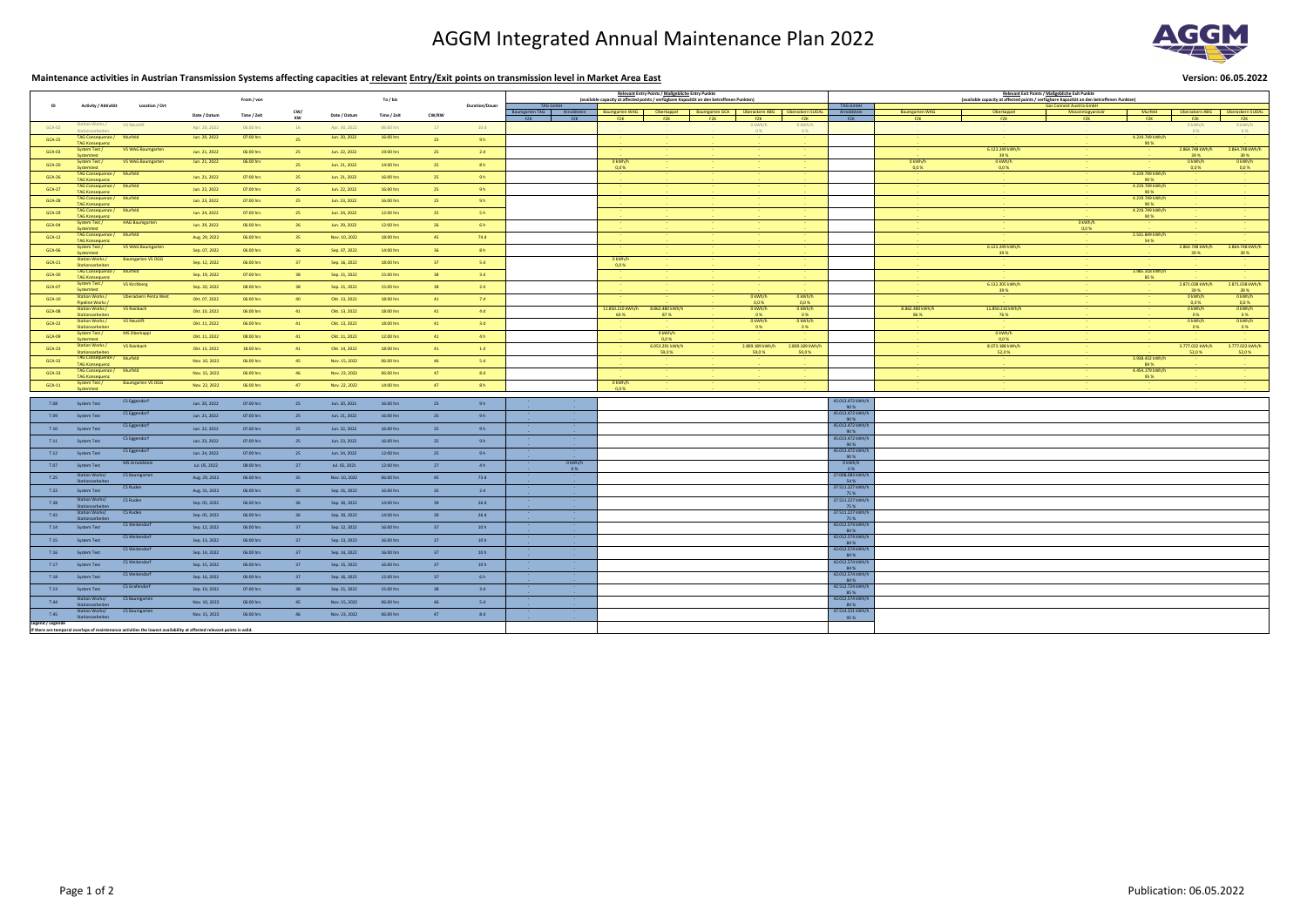# AGGM Integrated Annual Maintenance Plan 2022



#### Publication: 06.05.2022

### **Maintenance activities in Austrian Transmission Systems affecting capacities at relevant Entry/Exit points on transmission level in Market Area East Version: 06.05.2022**

|                                                                                                                               |                                                    |                                                                                                                        |               | From / von  |                  |               | To / bis    |                 |                       | Relevant Entry Points / Maßgebliche Entry Punkte<br>(available capacity at affected points / verfügbare Kapazität an den betroffenen Punkten)                                                                                                                                                                  |                                     |                                              |                                                      |                                                |                                                      |                          |                                                                                             |                                             | Relevant Exit Points / Maßgebliche Exit Punkte<br>(available capacity at affected points / verfügbare Kapazität an den betroffenen Punkten) |                                               |                                                  |                                                                                                                                                                                          |  |  |  |  |  |  |
|-------------------------------------------------------------------------------------------------------------------------------|----------------------------------------------------|------------------------------------------------------------------------------------------------------------------------|---------------|-------------|------------------|---------------|-------------|-----------------|-----------------------|----------------------------------------------------------------------------------------------------------------------------------------------------------------------------------------------------------------------------------------------------------------------------------------------------------------|-------------------------------------|----------------------------------------------|------------------------------------------------------|------------------------------------------------|------------------------------------------------------|--------------------------|---------------------------------------------------------------------------------------------|---------------------------------------------|---------------------------------------------------------------------------------------------------------------------------------------------|-----------------------------------------------|--------------------------------------------------|------------------------------------------------------------------------------------------------------------------------------------------------------------------------------------------|--|--|--|--|--|--|
|                                                                                                                               | \ctivity / Aktivität                               | Location / Ort                                                                                                         |               |             |                  |               |             |                 | <b>Duration/Dauer</b> | <b>TAG GmbH</b>                                                                                                                                                                                                                                                                                                |                                     |                                              |                                                      |                                                |                                                      | <b>TAG GmbH</b>          |                                                                                             |                                             | <b>Gas Connect Austria GmbH</b>                                                                                                             |                                               |                                                  |                                                                                                                                                                                          |  |  |  |  |  |  |
|                                                                                                                               |                                                    |                                                                                                                        | Date / Datum  | Time / Zeit | CW/<br><b>KW</b> | Date / Datun  | Time / Zeit | <b>CW/KW</b>    |                       | <b>Baumgarten TAG</b><br><b>F7K</b><br>F7K                                                                                                                                                                                                                                                                     | <b>Baumgarten WAG</b><br><b>F7K</b> | Oberkappel<br><b>F7K</b>                     | <b>Baumgarten GCA</b><br><b>F7K</b>                  | Überackern ABG<br>F7K                          | Überackern SUDAI<br>F7K -                            | Arnoldstein<br>F7K       | <b>Baumgarten WAG</b><br><b>FZK</b>                                                         | Oberkappel<br><b>F7K</b>                    | Mosonmagyaróvár<br>F7K                                                                                                                      | Murfeld<br><b>F7K</b>                         | Überackern ABG<br><b>F7K</b>                     | Überackern SUDAL<br><b>FZK</b>                                                                                                                                                           |  |  |  |  |  |  |
| GCA-02                                                                                                                        | Station Works /<br>Stationsarbeiter                | VS Neustift                                                                                                            | Apr. 20, 2022 | 06:00 hrs   |                  | Apr. 30, 2022 | 06:00 hrs   |                 | 10d                   |                                                                                                                                                                                                                                                                                                                |                                     |                                              |                                                      | 0 kWh/h<br>$\bigcap \mathcal{O}'_0$            | 0 kWh/h<br>$0\%$                                     |                          |                                                                                             |                                             |                                                                                                                                             |                                               | 0 kWh/h<br>0%                                    | 0 kWh/h<br>0%                                                                                                                                                                            |  |  |  |  |  |  |
| $GCA-25$                                                                                                                      | TAG Consequence / Murfeld                          |                                                                                                                        | Jun. 20, 2022 | 07:00 hrs   |                  | Jun. 20, 2022 | 16:00 hrs   |                 | 9h                    |                                                                                                                                                                                                                                                                                                                |                                     |                                              |                                                      |                                                |                                                      |                          |                                                                                             |                                             |                                                                                                                                             | 4.219.749 kWh/h                               | <b>State State</b>                               | <b>Contract Contract</b>                                                                                                                                                                 |  |  |  |  |  |  |
| <b>GCA-03</b>                                                                                                                 | <b>TAG Konsequen:</b><br>System Test /             | <b>VS WAG Baumgarten</b>                                                                                               | Jun. 21, 2022 | 06:00 hrs   |                  | Jun. 22, 2022 | 19:00 hrs   |                 | 2d                    |                                                                                                                                                                                                                                                                                                                |                                     |                                              |                                                      |                                                |                                                      |                          |                                                                                             | 6.123.249 kWh/h                             |                                                                                                                                             | 90%                                           | 2.864.748 kWh/h                                  | 2.864.748 kWh/h                                                                                                                                                                          |  |  |  |  |  |  |
|                                                                                                                               | Systemtes<br>System Test                           | <b>VS WAG Baumgarten</b>                                                                                               | Jun. 21, 2022 | 06:00 hrs   |                  |               |             |                 |                       |                                                                                                                                                                                                                                                                                                                | 0 kWh/h                             |                                              |                                                      |                                                |                                                      |                          | $\sim$ 100 $\pm$<br>0 kWh/h                                                                 | 39 %<br>0 kWh/h                             |                                                                                                                                             |                                               | 39 %<br>0 kWh/h                                  | 39 %<br>0 kWh/h                                                                                                                                                                          |  |  |  |  |  |  |
| GCA-20                                                                                                                        | vstemtes<br>TAG Consequence / Murfeld              |                                                                                                                        |               |             |                  | Jun. 21, 2022 | 14:00 hrs   |                 | 8h                    |                                                                                                                                                                                                                                                                                                                | 0,0%<br><b>Contract Contract</b>    |                                              |                                                      |                                                |                                                      |                          | 0,0%<br><b>Contract Contract</b>                                                            | 0,0%                                        |                                                                                                                                             | 4.219.749 kWh/h                               | $0.0\%$<br><b>Contract Contract</b>              | 0,0%<br><b>Contract Contract</b>                                                                                                                                                         |  |  |  |  |  |  |
| $GCA-26$                                                                                                                      | TAG Konsequenz                                     |                                                                                                                        | Jun. 21, 2022 | 07:00 hrs   |                  | Jun. 21, 2022 | 16:00 hrs   |                 | 9h                    |                                                                                                                                                                                                                                                                                                                |                                     |                                              |                                                      |                                                |                                                      |                          |                                                                                             |                                             |                                                                                                                                             | 90 %                                          |                                                  |                                                                                                                                                                                          |  |  |  |  |  |  |
| <b>GCA-27</b>                                                                                                                 | TAG Consequence / Murfeld<br><b>TAG Konsequenz</b> |                                                                                                                        | Jun. 22, 2022 | 07:00 hrs   |                  | Jun. 22, 2022 | 16:00 hrs   |                 | 9h                    |                                                                                                                                                                                                                                                                                                                |                                     |                                              |                                                      |                                                |                                                      |                          |                                                                                             |                                             |                                                                                                                                             | 4.219.749 kWh/h<br>90 %                       |                                                  |                                                                                                                                                                                          |  |  |  |  |  |  |
| GCA-28                                                                                                                        | TAG Consequence / Murfeld<br><b>TAG Konsequenz</b> |                                                                                                                        | Jun. 23, 2022 | 07:00 hrs   |                  | Jun. 23, 2022 | 16:00 hrs   |                 | 9h                    |                                                                                                                                                                                                                                                                                                                |                                     |                                              |                                                      |                                                | <b>State State</b>                                   |                          |                                                                                             |                                             |                                                                                                                                             | 4.219.749 kWh/h<br>90 %                       | <b>Contract Contract</b>                         | <b>Service Control</b>                                                                                                                                                                   |  |  |  |  |  |  |
| GCA-29                                                                                                                        | TAG Consequence / Murfeld<br><b>TAG Konsequen:</b> |                                                                                                                        | Jun. 24, 2022 | 07:00 hrs   |                  | Jun. 24, 2022 | 12:00 hrs   |                 | $-5h$                 |                                                                                                                                                                                                                                                                                                                |                                     |                                              |                                                      |                                                |                                                      |                          |                                                                                             |                                             |                                                                                                                                             | 4.219.749 kWh/h<br>90%                        |                                                  | <b>Contract Contract</b>                                                                                                                                                                 |  |  |  |  |  |  |
| GCA-04                                                                                                                        | System Test<br>svstemtes                           | <b>HAG Baumgarten</b>                                                                                                  | Jun. 29, 2022 | 06:00 hrs   |                  | Jun. 29, 2022 | 12:00 hrs   |                 | 6h                    |                                                                                                                                                                                                                                                                                                                |                                     |                                              |                                                      |                                                | <b>Contract Contract</b>                             |                          |                                                                                             |                                             | 0 kWh/h<br>0,0%                                                                                                                             |                                               |                                                  | <b>State Control</b>                                                                                                                                                                     |  |  |  |  |  |  |
| <b>GCA-12</b>                                                                                                                 | TAG Consequence /<br><b>TAG Konsequenz</b>         | Murfeld                                                                                                                | Aug. 29, 2022 | 06:00 hrs   |                  | Nov. 10, 2022 | 18:00 hrs   |                 | 74 d                  |                                                                                                                                                                                                                                                                                                                |                                     |                                              |                                                      |                                                | <b>Contract</b>                                      |                          |                                                                                             |                                             |                                                                                                                                             | 2.531.849 kWh/h<br>54 %                       |                                                  |                                                                                                                                                                                          |  |  |  |  |  |  |
| GCA-06                                                                                                                        | System Test                                        | <b>VS WAG Baumgarter</b>                                                                                               | Sep. 07, 2022 | 06:00 hrs   |                  | Sep. 07, 2022 | 14:00 hrs   |                 | 8h                    |                                                                                                                                                                                                                                                                                                                |                                     |                                              |                                                      |                                                | <b>Contract Contract</b>                             |                          |                                                                                             | 6.123.249 kWh/h                             |                                                                                                                                             |                                               | 2.864.748 kWh/h                                  | 2.864.748 kWh/h                                                                                                                                                                          |  |  |  |  |  |  |
| <b>GCA-21</b>                                                                                                                 | svstemtes<br>Station Works                         | <b>Baumgarten VS OGG</b>                                                                                               | Sep. 12, 2022 | 06:00 hrs   |                  | Sep. 16, 2022 | 18:00 hrs   |                 | 5d                    |                                                                                                                                                                                                                                                                                                                | 0 kWh/h                             |                                              |                                                      |                                                | <b>Contract</b><br><b>Contract Contract</b>          |                          |                                                                                             | 39 %                                        |                                                                                                                                             |                                               | 39 %                                             | 39 %<br><b>Contract Contract</b>                                                                                                                                                         |  |  |  |  |  |  |
|                                                                                                                               | Stationsarbeiten<br>TAG Consequence /              | Murfeld                                                                                                                |               |             |                  |               |             |                 |                       |                                                                                                                                                                                                                                                                                                                | $0.0\%$                             |                                              |                                                      |                                                | <b>State State</b><br><b>Contract Contract</b>       |                          |                                                                                             |                                             |                                                                                                                                             | 3.985.318 kWh/h                               |                                                  |                                                                                                                                                                                          |  |  |  |  |  |  |
| GCA-30                                                                                                                        | <b>TAG Konsequen:</b><br>System Test /             | VS Kirchberg                                                                                                           | Sep. 19, 2022 | 07:00 hrs   |                  | Sep. 21, 2022 | 15:00 hrs   |                 | 3d                    |                                                                                                                                                                                                                                                                                                                |                                     |                                              |                                                      |                                                |                                                      |                          |                                                                                             | 6.132.205 kWh/h                             |                                                                                                                                             | 85 %                                          | 2.871.038 kWh/h                                  | 2.871.038 kWh/h                                                                                                                                                                          |  |  |  |  |  |  |
| GCA-07                                                                                                                        | <b>Systemtes</b>                                   |                                                                                                                        | Sep. 20, 2022 | 08:00 hrs   |                  | Sep. 21, 2022 | 15:00 hrs   |                 | 2d                    |                                                                                                                                                                                                                                                                                                                | <b>Contract Contract</b>            |                                              |                                                      |                                                |                                                      |                          | <b>Contractor</b>                                                                           | 39%                                         |                                                                                                                                             |                                               | 39 %                                             | 39 %                                                                                                                                                                                     |  |  |  |  |  |  |
| $GCA-10$                                                                                                                      | Station Works<br>Pipeline Works /                  | Überackern Penta West                                                                                                  | Okt. 07, 2022 | $06:00$ hrs |                  | Okt. 13, 2022 | 18:00 hrs   | 41              | 7d                    |                                                                                                                                                                                                                                                                                                                | <b>Contract Contract</b>            | <b>Contract Contract</b>                     | <b>Contract Contract</b>                             | 0 kWh/h<br>0,0%                                | 0 kWh/h<br>0,0%                                      |                          | $\alpha$ , $\alpha$ , $\alpha$ , $\alpha$ , $\alpha$ , $\alpha$<br><b>Contract Contract</b> | <b>Contractor</b><br><b>Service Control</b> |                                                                                                                                             | <b>State State</b>                            | 0 kWh/h<br>0,0%                                  | 0 kWh/h<br>0,0%                                                                                                                                                                          |  |  |  |  |  |  |
| GCA-08                                                                                                                        | Station Works /<br>Stationsarbeiten                | VS Rainbach                                                                                                            | Okt. 10, 2022 | $06:00$ hrs |                  | Okt. 13, 2022 | $18:00$ hrs | 41              | 4d                    |                                                                                                                                                                                                                                                                                                                | 11.850.210 kWh/h<br>60%             | 8.862.480 kWh/h<br>87 %                      | <b>Common</b>                                        | 0 kWh/h<br>0%                                  | 0 kWh/h<br>$0\%$                                     |                          | 8.862.480 kWh/h<br>86 %                                                                     | 11.850.210 kWh/h<br>76 %                    | <b>Service</b> Control                                                                                                                      | <b>Contract</b>                               | 0 kWh/h<br>$0\%$                                 | 0 kWh/h<br>$0\%$                                                                                                                                                                         |  |  |  |  |  |  |
| GCA-22                                                                                                                        | Station Works /<br>Stationsarbeiten                | VS Neustift                                                                                                            | Okt. 11, 2022 | $06:00$ hrs | -41              | Okt. 13, 2022 | 18:00 hrs   | 41              | 3d                    |                                                                                                                                                                                                                                                                                                                | <b>Contract Contract</b>            | <b>State State</b><br><b>Service Control</b> | <b>Contract Contract</b><br><b>Contract Contract</b> | 0 kWh/h<br>$0\%$                               | 0 kWh/h<br>$0\%$                                     |                          | <b>Service Control</b><br><b>Contact Contact</b>                                            | <b>State State</b><br><b>Contractor</b>     |                                                                                                                                             | <b>State State</b><br><b>Service Contract</b> | 0 kWh/h<br>$0\%$                                 | 0 kWh/h<br>$0\%$                                                                                                                                                                         |  |  |  |  |  |  |
| GCA-09                                                                                                                        | System Test /<br>Systemtest                        | MS Oberkappl                                                                                                           | Okt. 11, 2022 | 08:00 hrs   |                  | Okt. 11, 2022 | 12:00 hrs   | 41              | 4h                    |                                                                                                                                                                                                                                                                                                                | <b>Service State</b>                | 0 kWh/h<br>0,0%                              | <b>Contractor</b><br><b>Contractor</b>               | <b>State State</b><br><b>Contract Contract</b> | <b>Common</b>                                        |                          | <b>Service State</b>                                                                        | 0 kWh/h<br>0,0%                             | <b>State State</b>                                                                                                                          | <b>State State</b>                            | <b>State Advised</b><br><b>Contract Contract</b> | <b>Service Control</b><br><b>Contract Contract</b>                                                                                                                                       |  |  |  |  |  |  |
| $GCA-23$                                                                                                                      | Station Works /                                    | VS Rainbach                                                                                                            | Okt. 13, 2022 | 18:00 hrs   | -41              | Okt. 14, 2022 | 18:00 hrs   | 41              | 1d                    |                                                                                                                                                                                                                                                                                                                | <b>Service State</b>                | 6.053.291 kWh/h                              |                                                      | 2.809.189 kWh/h                                | 2.809.189 kWh/h                                      |                          | <b>State State</b>                                                                          | 8.073.188 kWh/h                             |                                                                                                                                             | <b>State State</b>                            | 3.777.022 kWh/h                                  | 3.777.022 kWh/h                                                                                                                                                                          |  |  |  |  |  |  |
| $GCA-32$                                                                                                                      | Stationsarbeiten<br>TAG Consequence / Murfeld      |                                                                                                                        | Nov. 10, 2022 | 06:00 hrs   | - 45 -           | Nov. 15, 2022 | $06:00$ hrs | 46              | $-5d$                 |                                                                                                                                                                                                                                                                                                                | <b>State State</b>                  | 59,0%<br><b>State State</b>                  |                                                      | 59,0 %                                         | 59,0%<br><b>State State</b>                          |                          | <b>Contractor</b><br><b>Contractor</b>                                                      | 52,0%                                       | <b>Service</b> State                                                                                                                        | 3.938.432 kWh/h                               | 52,0%<br><b>State State</b>                      | 52,0%<br><b>Service Control</b>                                                                                                                                                          |  |  |  |  |  |  |
|                                                                                                                               | <b>TAG Konsequenz</b><br>TAG Consequence / Murfeld |                                                                                                                        |               |             |                  |               |             |                 |                       |                                                                                                                                                                                                                                                                                                                | <b>Contract Contract</b>            | <b>Service Control</b>                       |                                                      | <b>Service Control</b>                         | <b>Contractor</b><br><b>Service Control</b>          |                          | <b>Contract Contract</b>                                                                    |                                             | <b>Service</b> State                                                                                                                        | 84 %<br>4.454.179 kWh/h                       | <b>Service Control</b>                           | $\mathcal{L}(\mathcal{L})$ and $\mathcal{L}(\mathcal{L})$ . The $\mathcal{L}(\mathcal{L})$<br>$\mathcal{L}(\mathcal{L})$ and $\mathcal{L}(\mathcal{L})$ . The $\mathcal{L}(\mathcal{L})$ |  |  |  |  |  |  |
| $GCA-33$                                                                                                                      | <b>TAG Konsequenz</b><br>System Test /             | <b>Baumgarten VS OGG</b>                                                                                               | Nov. 15, 2022 | $06:00$ hrs |                  | Nov. 23, 2022 | $06:00$ hrs | 47              | 8d                    |                                                                                                                                                                                                                                                                                                                | 0 kWh/h                             | <b>State State</b><br><b>State State</b>     |                                                      | <b>Service Contract</b>                        | <b>Contract Contract</b><br><b>Contract Contract</b> |                          |                                                                                             |                                             |                                                                                                                                             | 95%<br><b>State State</b>                     | <b>State State</b>                               | <b>Contract Contract</b><br><b>Service Control</b>                                                                                                                                       |  |  |  |  |  |  |
| $GCA-11$                                                                                                                      | Systemtest                                         |                                                                                                                        | Nov. 22, 2022 | $06:00$ hrs |                  | Nov. 22, 2022 | $14:00$ hrs | 47              | 8h                    |                                                                                                                                                                                                                                                                                                                | $0.0\%$                             |                                              |                                                      |                                                |                                                      |                          |                                                                                             |                                             |                                                                                                                                             |                                               |                                                  |                                                                                                                                                                                          |  |  |  |  |  |  |
| T.08                                                                                                                          | System Test                                        | CS Eggendorf                                                                                                           | Jun. 20, 2022 | 07:00 hrs   |                  | Jun. 20, 2021 | 16:00 hrs   |                 | 9h                    | <b>Service Contracts</b><br><b>Service Contract Contract</b>                                                                                                                                                                                                                                                   |                                     |                                              |                                                      |                                                |                                                      | 45.013.472 kWh/h         |                                                                                             |                                             |                                                                                                                                             |                                               |                                                  |                                                                                                                                                                                          |  |  |  |  |  |  |
| T.09                                                                                                                          | System Test                                        | CS Eggendorf                                                                                                           | Jun. 21, 2022 | 07:00 hrs   |                  | Jun. 21, 2022 | 16:00 hrs   |                 | 9h                    | <b>Service Contract Contract</b><br><b>Service Control Control</b><br><b>Service Committee Committee</b>                                                                                                                                                                                                       |                                     |                                              |                                                      |                                                |                                                      | 90 %<br>45.013.472 kWh/h |                                                                                             |                                             |                                                                                                                                             |                                               |                                                  |                                                                                                                                                                                          |  |  |  |  |  |  |
| T.10                                                                                                                          | System Test                                        | CS Eggendorf                                                                                                           | Jun. 22, 2022 | 07:00 hrs   |                  | Jun. 22, 2022 | 16:00 hrs   |                 | 9h                    | <b>Service Contract Contract</b><br><b>Service Control</b><br>the second control of the second control of the second                                                                                                                                                                                           |                                     |                                              |                                                      |                                                |                                                      | 90 %<br>45.013.472 kWh/h |                                                                                             |                                             |                                                                                                                                             |                                               |                                                  |                                                                                                                                                                                          |  |  |  |  |  |  |
|                                                                                                                               |                                                    | CS Eggendorf                                                                                                           |               |             |                  |               |             |                 |                       | the company of the company of<br><b>Service Contract Contract</b><br>the company of the company of the company of the company of the company of                                                                                                                                                                |                                     |                                              |                                                      |                                                |                                                      | 90%<br>45.013.472 kWh/h  |                                                                                             |                                             |                                                                                                                                             |                                               |                                                  |                                                                                                                                                                                          |  |  |  |  |  |  |
| T.11                                                                                                                          | System Test                                        | CS Eggendorf                                                                                                           | Jun. 23, 2022 | 07:00 hrs   | $-25$            | Jun. 23, 2022 | 16:00 hrs   | -25-            | 9h                    | the company of the company of the company of the company of the company of the company of<br><b>Service Contract Contract</b><br><b>Service Committee Committee</b>                                                                                                                                            |                                     |                                              |                                                      |                                                |                                                      | 90 %<br>45.013.472 kWh/h |                                                                                             |                                             |                                                                                                                                             |                                               |                                                  |                                                                                                                                                                                          |  |  |  |  |  |  |
| T.12                                                                                                                          | System Test                                        |                                                                                                                        | Jun. 24, 2022 | 07:00 hrs   |                  | Jun. 24, 2022 | 12:00 hrs   |                 | 9h                    | and the state of the state of the<br><b>Service Contract Contract</b>                                                                                                                                                                                                                                          |                                     |                                              |                                                      |                                                |                                                      | 90 %                     |                                                                                             |                                             |                                                                                                                                             |                                               |                                                  |                                                                                                                                                                                          |  |  |  |  |  |  |
| T.07                                                                                                                          | System Test                                        | MS Arnoldstein                                                                                                         | Jul. 05, 2022 | 08:00 hrs   |                  | Jul. 05, 2021 | 12:00 hrs   |                 | 4h                    | 0 kWh/h<br><b>Service Control</b><br>$0\%$                                                                                                                                                                                                                                                                     |                                     |                                              |                                                      |                                                |                                                      | 0 kWh/h<br>$0\%$         |                                                                                             |                                             |                                                                                                                                             |                                               |                                                  |                                                                                                                                                                                          |  |  |  |  |  |  |
| T.25                                                                                                                          | Station Works/<br>Stationsarbeiten                 | CS Baumgarten                                                                                                          | Aug. 29, 2022 | 06:00 hrs   |                  | Nov. 10, 2022 | 06:00 hrs   |                 | 73 d                  | <b>Service State</b><br><b>Service Control</b><br><b>Contract Contract Contract</b>                                                                                                                                                                                                                            |                                     |                                              |                                                      |                                                |                                                      | 27.008.083 kWh/h<br>54 % |                                                                                             |                                             |                                                                                                                                             |                                               |                                                  |                                                                                                                                                                                          |  |  |  |  |  |  |
| T.22                                                                                                                          | System Test                                        | CS Ruden                                                                                                               | Aug. 31, 2022 | 06:00 hrs   | - 35 -           | Sep. 01, 2022 | 16:00 hrs   | - 35            | 2d                    | 이 아이는 아이들이 아이들이 아이들이 아이들이 아이들이 아니다.<br><b>Service Committee</b>                                                                                                                                                                                                                                                |                                     |                                              |                                                      |                                                |                                                      | 37.511.227 kWh/h<br>75 % |                                                                                             |                                             |                                                                                                                                             |                                               |                                                  |                                                                                                                                                                                          |  |  |  |  |  |  |
| T.38                                                                                                                          | Station Works/<br>Stationsarbeiten                 | <b>CS Ruden</b>                                                                                                        | Sep. 05, 2022 | 06:00 hrs   | - 36 -           | Sep. 30, 2022 | 14:00 hrs   |                 | 26d                   | the company of the company of the company of the company of the company of the company of<br>the company of the company of the company of the company of the company of the company of the company of the company                                                                                              |                                     |                                              |                                                      |                                                |                                                      | 37.511.227 kWh/h<br>75 % |                                                                                             |                                             |                                                                                                                                             |                                               |                                                  |                                                                                                                                                                                          |  |  |  |  |  |  |
| T.42                                                                                                                          | <b>Station Works/</b><br>Stationsarbeiten          | CS Ruden                                                                                                               | Sep. 05, 2022 | 06:00 hrs   | $-36$            | Sep. 30, 2022 | 14:00 hrs   |                 | 26d                   | 10 Hotel Address Andrew March 2014 (1985) Andrew March 2014<br>1000 Hz Hot 1000 Hz Hot 1000 Hz Hot 1000 Hz Hot 1000 Hz Hot 1000 Hz Hot 1000 Hz Hot 1000 Hz Hot 1000 Hz Hot 10                                                                                                                                  |                                     |                                              |                                                      |                                                |                                                      | 37.511.227 kWh/h<br>75 % |                                                                                             |                                             |                                                                                                                                             |                                               |                                                  |                                                                                                                                                                                          |  |  |  |  |  |  |
| T.14                                                                                                                          | System Test                                        | CS Weitendorf                                                                                                          | Sep. 12, 2022 | 06:00 hrs   | 37 <sup>2</sup>  | Sep. 12, 2022 | 16:00 hrs   |                 | 10h                   | <b>Service Communication</b>                                                                                                                                                                                                                                                                                   |                                     |                                              |                                                      |                                                |                                                      | 42.012.574 kWh/          |                                                                                             |                                             |                                                                                                                                             |                                               |                                                  |                                                                                                                                                                                          |  |  |  |  |  |  |
| T.15                                                                                                                          | System Test                                        | CS Weitendorf                                                                                                          | Sep. 13, 2022 | 06:00 hrs   | - 37             | Sep. 13, 2022 | 16:00 hrs   |                 | 10h                   | the company of the company of the company of the company of the company of the company of the company of the company of the company of the company of the company of the company of the company of the company of the company                                                                                  |                                     |                                              |                                                      |                                                |                                                      | 84 %<br>42.012.574 kWh/h |                                                                                             |                                             |                                                                                                                                             |                                               |                                                  |                                                                                                                                                                                          |  |  |  |  |  |  |
|                                                                                                                               | System Test                                        | CS Weitendorf                                                                                                          |               |             |                  |               |             |                 |                       | the contract of the contract of the<br>1000 Hz Hot 2000 Hz Hot 2000 Hz Hot 2000 Hz Hot 2000 Hz Hot 2000 Hz Hot 2000 Hz Hot 2000 Hz Hot 2000 Hz Hot 20                                                                                                                                                          |                                     |                                              |                                                      |                                                |                                                      | 84 %<br>42.012.574 kWh/ł |                                                                                             |                                             |                                                                                                                                             |                                               |                                                  |                                                                                                                                                                                          |  |  |  |  |  |  |
| T.16                                                                                                                          |                                                    | CS Weitendorf                                                                                                          | Sep. 14, 2022 | 06:00 hrs   | - 37 -           | Sep. 14, 2022 | 16:00 hrs   |                 | 10h                   | the control of the control of the control of the control of the control of the control of the control of the control of the control of the control of the control of the control of the control of the control of the control<br>and the state of the state of the                                             |                                     |                                              |                                                      |                                                |                                                      | 84 %<br>42.012.574 kWh/h |                                                                                             |                                             |                                                                                                                                             |                                               |                                                  |                                                                                                                                                                                          |  |  |  |  |  |  |
|                                                                                                                               | T.17 System Test                                   |                                                                                                                        | Sep. 15, 2022 | 06:00 hrs   | - 37 -           | Sep. 15, 2022 | 16:00 hrs   | 37              | 10h                   |                                                                                                                                                                                                                                                                                                                |                                     |                                              |                                                      |                                                |                                                      | 84 %                     |                                                                                             |                                             |                                                                                                                                             |                                               |                                                  |                                                                                                                                                                                          |  |  |  |  |  |  |
| T.18                                                                                                                          | System Test                                        | CS Weitendorf                                                                                                          | Sep. 16, 2022 | 06:00 hrs   | 37               | Sep. 16, 2022 | 12:00 hrs   | 37 <sup>2</sup> | 6h                    | the contract of the contract of the                                                                                                                                                                                                                                                                            |                                     |                                              |                                                      |                                                |                                                      | 42.012.574 kWh/h<br>84 % |                                                                                             |                                             |                                                                                                                                             |                                               |                                                  |                                                                                                                                                                                          |  |  |  |  |  |  |
| T.13                                                                                                                          | System Test                                        | CS Grafendorf                                                                                                          | Sep. 19, 2022 | 07:00 hrs   | 38 <sup>2</sup>  | Sep. 21, 2022 | 15:00 hrs   |                 | $-3d$                 | 이 아이들은 아이들이 아이들이 아이들이 아이들이 아이들이 아이들이 있다.<br>and the contract of the con-                                                                                                                                                                                                                                       |                                     |                                              |                                                      |                                                |                                                      | 42.512.724 kWh/h<br>85 % |                                                                                             |                                             |                                                                                                                                             |                                               |                                                  |                                                                                                                                                                                          |  |  |  |  |  |  |
| T.44<br><b>Contract Contract Contract Contract Contract Contract Contract Contract Contract Contract Contract Contract Co</b> | Station Works/<br>Stationsarbeiten                 | CS Baumgarten                                                                                                          | Nov. 10, 2022 | 06:00 hrs   | 45               | Nov. 15, 2022 | 06:00 hrs   |                 | $-5d$                 | <b>Service Contract Contract</b><br><b>Service Contract Contract</b>                                                                                                                                                                                                                                           |                                     |                                              |                                                      |                                                |                                                      | 42.012.574 kWh/h<br>84 % |                                                                                             |                                             |                                                                                                                                             |                                               |                                                  |                                                                                                                                                                                          |  |  |  |  |  |  |
| T.45                                                                                                                          | Station Works/<br>Stationsarbeiten                 | CS Baumgarten                                                                                                          | Nov. 15, 2022 | 06:00 hrs   |                  | Nov. 23, 2022 | $06:00$ hrs |                 | 8d                    | the company of the company of the company of the company of the company of the company of the company of the company of the company of the company of the company of the company of the company of the company of the company<br><b>Service Contract Contract Contract</b><br><b>Service Contract Contract</b> |                                     |                                              |                                                      |                                                |                                                      | 47.514.221 kWh/ł<br>95 % |                                                                                             |                                             |                                                                                                                                             |                                               |                                                  |                                                                                                                                                                                          |  |  |  |  |  |  |
| Legend / Legende                                                                                                              |                                                    |                                                                                                                        |               |             |                  |               |             |                 |                       |                                                                                                                                                                                                                                                                                                                |                                     |                                              |                                                      |                                                |                                                      |                          |                                                                                             |                                             |                                                                                                                                             |                                               |                                                  |                                                                                                                                                                                          |  |  |  |  |  |  |
|                                                                                                                               |                                                    | If there are temporal overlaps of maintenance activities the lowest availability at affected relevant points is valid. |               |             |                  |               |             |                 |                       |                                                                                                                                                                                                                                                                                                                |                                     |                                              |                                                      |                                                |                                                      |                          |                                                                                             |                                             |                                                                                                                                             |                                               |                                                  |                                                                                                                                                                                          |  |  |  |  |  |  |
|                                                                                                                               |                                                    |                                                                                                                        |               |             |                  |               |             |                 |                       |                                                                                                                                                                                                                                                                                                                |                                     |                                              |                                                      |                                                |                                                      |                          |                                                                                             |                                             |                                                                                                                                             |                                               |                                                  |                                                                                                                                                                                          |  |  |  |  |  |  |